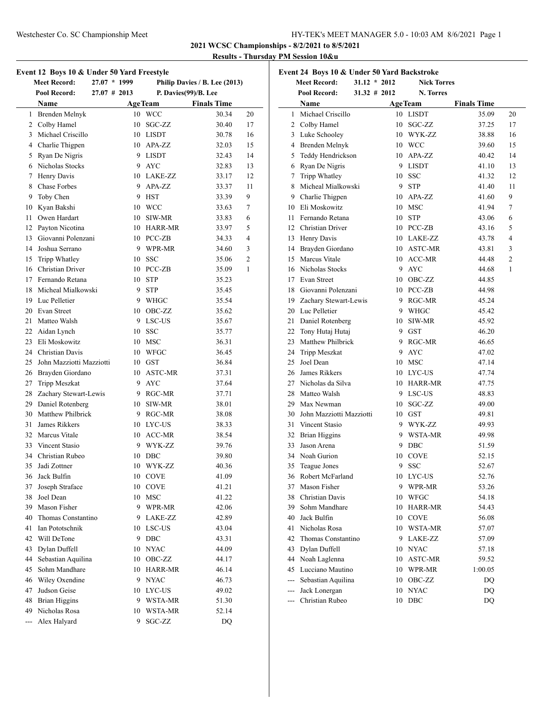**2021 WCSC Championships - 8/2/2021 to 8/5/2021**

# **Results - Thursday PM Session 10&u**

|                | Event 12 Boys 10 & Under 50 Yard Freestyle<br><b>Meet Record:</b> | $27.07 * 1999$ |                | Philip Davies / B. Lee (2013) |    |
|----------------|-------------------------------------------------------------------|----------------|----------------|-------------------------------|----|
|                | Pool Record:                                                      | 27.07 # 2013   |                | P. Davies(99)/B. Lee          |    |
|                | Name                                                              |                | <b>AgeTeam</b> | <b>Finals Time</b>            |    |
|                | 1 Brenden Melnyk                                                  |                | 10 WCC         | 30.34                         | 20 |
|                | 2 Colby Hamel                                                     | 10             | SGC-ZZ         | 30.40                         | 17 |
|                | 3 Michael Criscillo                                               |                | 10 LISDT       | 30.78                         | 16 |
|                | 4 Charlie Thigpen                                                 |                | 10 APA-ZZ      | 32.03                         | 15 |
|                | 5 Ryan De Nigris                                                  |                | 9 LISDT        | 32.43                         | 14 |
|                | 6 Nicholas Stocks                                                 |                | 9 AYC          | 32.83                         | 13 |
|                | 7 Henry Davis                                                     |                | 10 LAKE-ZZ     | 33.17                         | 12 |
|                | 8 Chase Forbes                                                    |                | 9 APA-ZZ       | 33.37                         | 11 |
| 9              | Toby Chen                                                         | 9.             | <b>HST</b>     | 33.39                         | 9  |
| 10             | Kyan Bakshi                                                       |                | 10 WCC         | 33.63                         | 7  |
|                | 11 Owen Hardart                                                   |                | 10 SIW-MR      | 33.83                         | 6  |
|                | 12 Payton Nicotina                                                |                | 10 HARR-MR     | 33.97                         | 5  |
|                | 13 Giovanni Polenzani                                             |                | 10 PCC-ZB      | 34.33                         | 4  |
|                | 14 Joshua Serrano                                                 |                | 9 WPR-MR       | 34.60                         | 3  |
| 15             | Tripp Whatley                                                     |                | 10 SSC         | 35.06                         | 2  |
|                | 16 Christian Driver                                               |                | 10 PCC-ZB      | 35.09                         | 1  |
|                | 17 Fernando Retana                                                |                | 10 STP         | 35.23                         |    |
|                | 18 Micheal Mialkowski                                             |                | 9 STP          | 35.45                         |    |
|                | 19 Luc Pelletier                                                  |                | 9 WHGC         | 35.54                         |    |
|                | 20 Evan Street                                                    |                | 10 OBC-ZZ      | 35.62                         |    |
|                | 21 Matteo Walsh                                                   |                | 9 LSC-US       | 35.67                         |    |
|                | 22 Aidan Lynch                                                    |                | 10 SSC         | 35.77                         |    |
|                | 23 Eli Moskowitz                                                  |                | 10 MSC         | 36.31                         |    |
|                | 24 Christian Davis                                                |                | 10 WFGC        | 36.45                         |    |
|                | 25 John Mazziotti Mazziotti                                       |                | $10$ GST       | 36.84                         |    |
|                | 26 Brayden Giordano                                               |                | 10 ASTC-MR     | 37.31                         |    |
|                | 27 Tripp Meszkat                                                  |                | 9 AYC          | 37.64                         |    |
|                | 28 Zachary Stewart-Lewis                                          |                | 9 RGC-MR       | 37.71                         |    |
|                | 29 Daniel Rotenberg                                               |                | 10 SIW-MR      | 38.01                         |    |
|                | 30 Matthew Philbrick                                              |                | 9 RGC-MR       | 38.08                         |    |
| 31             | James Rikkers                                                     |                | 10 LYC-US      | 38.33                         |    |
|                | 32 Marcus Vitale                                                  |                | 10 ACC-MR      | 38.54                         |    |
|                | 33 Vincent Stasio                                                 |                | 9 WYK-ZZ       | 39.76                         |    |
|                | 34 Christian Rubeo                                                |                | 10 DBC         | 39.80                         |    |
| 35             | Jadi Zottner                                                      |                | 10 WYK-ZZ      | 40.36                         |    |
| 36             | Jack Bulfin                                                       |                | 10 COVE        | 41.09                         |    |
| 37             | Joseph Straface                                                   | 10             | <b>COVE</b>    | 41.21                         |    |
| 38             | Joel Dean                                                         | 10             | <b>MSC</b>     | 41.22                         |    |
|                | 39 Mason Fisher                                                   |                | 9 WPR-MR       | 42.06                         |    |
|                | 40 Thomas Constantino                                             |                | 9 LAKE-ZZ      | 42.89                         |    |
| 41             | Ian Pototschnik                                                   |                | 10 LSC-US      | 43.04                         |    |
| 42             | Will DeTone                                                       | 9.             | DBC            | 43.31                         |    |
| 43             | Dylan Duffell                                                     |                | 10 NYAC        | 44.09                         |    |
| 44             | Sebastian Aquilina                                                | 10             | OBC-ZZ         | 44.17                         |    |
| 45             | Sohm Mandhare                                                     |                | 10 HARR-MR     | 46.14                         |    |
|                | 46 Wiley Oxendine                                                 | 9              | <b>NYAC</b>    | 46.73                         |    |
| 47             | Judson Geise                                                      |                | 10 LYC-US      | 49.02                         |    |
|                | 48 Brian Higgins                                                  |                | 9 WSTA-MR      | 51.30                         |    |
| 49             | Nicholas Rosa                                                     |                | 10 WSTA-MR     | 52.14                         |    |
| $\overline{a}$ | Alex Halyard                                                      | 9              | SGC-ZZ         | DQ                            |    |

|       | Event 24 Boys 10 & Under 50 Yard Backstroke |                 |    |                    |                    |    |
|-------|---------------------------------------------|-----------------|----|--------------------|--------------------|----|
|       | <b>Meet Record:</b>                         | $31.12 * 2012$  |    | <b>Nick Torres</b> |                    |    |
|       | Pool Record:                                | $31.32 \# 2012$ |    | N. Torres          |                    |    |
|       | Name                                        |                 |    | <b>AgeTeam</b>     | <b>Finals Time</b> |    |
|       | 1 Michael Criscillo                         |                 |    | 10 LISDT           | 35.09              | 20 |
|       | 2 Colby Hamel                               |                 | 10 | SGC-ZZ             | 37.25              | 17 |
|       | 3 Luke Schooley                             |                 |    | 10 WYK-ZZ          | 38.88              | 16 |
|       | 4 Brenden Melnyk                            |                 |    | 10 WCC             | 39.60              | 15 |
|       | 5 Teddy Hendrickson                         |                 |    | 10 APA-ZZ          | 40.42              | 14 |
|       | 6 Ryan De Nigris                            |                 |    | 9 LISDT            | 41.10              | 13 |
|       | 7 Tripp Whatley                             |                 |    | 10 SSC             | 41.32              | 12 |
| 8     | Micheal Mialkowski                          |                 |    | 9 STP              | 41.40              | 11 |
| 9     | Charlie Thigpen                             |                 |    | 10 APA-ZZ          | 41.60              | 9  |
|       | 10 Eli Moskowitz                            |                 |    | 10 MSC             | 41.94              | 7  |
|       | 11 Fernando Retana                          |                 | 10 | <b>STP</b>         | 43.06              | 6  |
|       | 12 Christian Driver                         |                 |    | 10 PCC-ZB          | 43.16              | 5  |
|       | 13 Henry Davis                              |                 |    | 10 LAKE-ZZ         | 43.78              | 4  |
|       | 14 Brayden Giordano                         |                 |    | 10 ASTC-MR         | 43.81              | 3  |
|       | 15 Marcus Vitale                            |                 |    | 10 ACC-MR          | 44.48              | 2  |
|       | 16 Nicholas Stocks                          |                 |    | 9 AYC              | 44.68              | 1  |
|       | 17 Evan Street                              |                 |    | 10 OBC-ZZ          | 44.85              |    |
|       | 18 Giovanni Polenzani                       |                 |    | 10 PCC-ZB          | 44.98              |    |
|       | 19 Zachary Stewart-Lewis                    |                 |    | 9 RGC-MR           | 45.24              |    |
|       | 20 Luc Pelletier                            |                 |    | 9 WHGC             | 45.42              |    |
| 21    | Daniel Rotenberg                            |                 |    | 10 SIW-MR          | 45.92              |    |
|       | 22 Tony Hutaj Hutaj                         |                 |    | 9 GST              | 46.20              |    |
|       | 23 Matthew Philbrick                        |                 |    | 9 RGC-MR           | 46.65              |    |
|       | 24 Tripp Meszkat                            |                 | 9  | AYC                | 47.02              |    |
| 25    | Joel Dean                                   |                 | 10 | MSC                | 47.14              |    |
|       | 26 James Rikkers                            |                 | 10 | LYC-US             | 47.74              |    |
|       | 27 Nicholas da Silva                        |                 |    | 10 HARR-MR         | 47.75              |    |
| 28    | Matteo Walsh                                |                 |    | 9 LSC-US           | 48.83              |    |
|       | 29 Max Newman                               |                 |    | 10 SGC-ZZ          | 49.00              |    |
|       | 30 John Mazziotti Mazziotti                 |                 |    | $10$ GST           | 49.81              |    |
| 31    | Vincent Stasio                              |                 |    | 9 WYK-ZZ           | 49.93              |    |
| 32    | <b>Brian Higgins</b>                        |                 |    | 9 WSTA-MR          | 49.98              |    |
| 33    | Jason Arena                                 |                 | 9  | DBC                | 51.59              |    |
|       | 34 Noah Gurion                              |                 | 10 | <b>COVE</b>        | 52.15              |    |
| 35    | Teague Jones                                |                 | 9  | SSC                | 52.67              |    |
| 36    | Robert McFarland                            |                 | 10 | LYC-US             | 52.76              |    |
|       | 37 Mason Fisher                             |                 | 9  | WPR-MR             | 53.26              |    |
|       | 38 Christian Davis                          |                 | 10 | WFGC               | 54.18              |    |
| 39    | Sohm Mandhare                               |                 | 10 | <b>HARR-MR</b>     | 54.43              |    |
|       | 40 Jack Bulfin                              |                 | 10 | <b>COVE</b>        | 56.08              |    |
| 41    | Nicholas Rosa                               |                 | 10 | WSTA-MR            | 57.07              |    |
| 42    | Thomas Constantino                          |                 | 9  | LAKE-ZZ            | 57.09              |    |
| 43    | Dylan Duffell                               |                 |    | 10 NYAC            | 57.18              |    |
| 44    | Noah Laglenna                               |                 |    | 10 ASTC-MR         | 59.52              |    |
|       | 45 Lucciano Mautino                         |                 | 10 | WPR-MR             | 1:00.05            |    |
|       | --- Sebastian Aquilina                      |                 |    | 10 OBC-ZZ          | DQ                 |    |
| $---$ | Jack Lonergan                               |                 | 10 | <b>NYAC</b>        | DQ                 |    |
| $---$ | Christian Rubeo                             |                 | 10 | DBC                | DQ                 |    |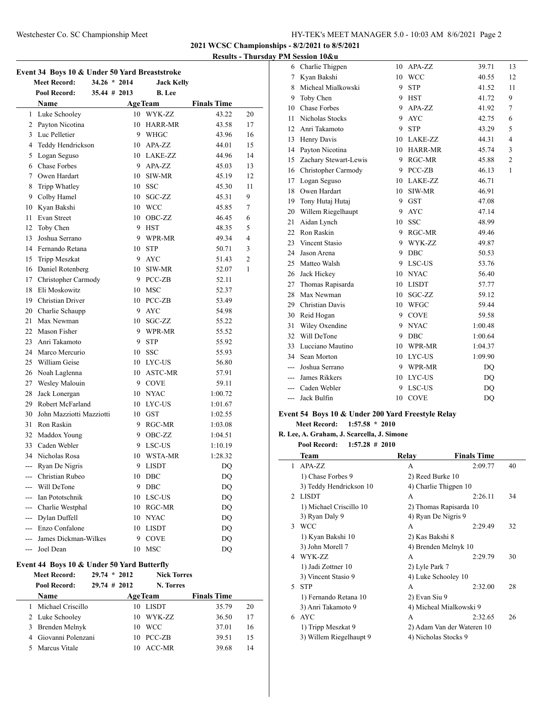### Westchester Co. SC Championship Meet HY-TEK's MEET MANAGER 5.0 - 10:03 AM 8/6/2021 Page 2

**2021 WCSC Championships - 8/2/2021 to 8/5/2021**

### **Results - Thursday PM Session 10&u**

|       | Pool Record:             | $35.44 \# 2013$ |    | <b>B.</b> Lee  |                    |    |
|-------|--------------------------|-----------------|----|----------------|--------------------|----|
|       | Name                     |                 |    | <b>AgeTeam</b> | <b>Finals Time</b> |    |
|       | 1 Luke Schooley          |                 |    | 10 WYK-ZZ      | 43.22              | 20 |
|       | 2 Payton Nicotina        |                 | 10 | HARR-MR        | 43.58              | 17 |
|       | 3 Luc Pelletier          |                 |    | 9 WHGC         | 43.96              | 16 |
|       | 4 Teddy Hendrickson      |                 |    | 10 APA-ZZ      | 44.01              | 15 |
|       | 5 Logan Seguso           |                 |    | 10 LAKE-ZZ     | 44.96              | 14 |
|       | 6 Chase Forbes           |                 |    | 9 APA-ZZ       | 45.03              | 13 |
|       | 7 Owen Hardart           |                 |    | 10 SIW-MR      | 45.19              | 12 |
| 8     | Tripp Whatley            |                 |    | 10 SSC         | 45.30              | 11 |
|       | 9 Colby Hamel            |                 | 10 | SGC-ZZ         | 45.31              | 9  |
|       | 10 Kyan Bakshi           |                 |    | 10 WCC         | 45.85              | 7  |
| 11    | Evan Street              |                 | 10 | OBC-ZZ         | 46.45              | 6  |
|       | 12 Toby Chen             |                 |    | 9 HST          | 48.35              | 5  |
| 13    | Joshua Serrano           |                 | 9. | WPR-MR         | 49.34              | 4  |
|       | 14 Fernando Retana       |                 |    | 10 STP         | 50.71              | 3  |
|       | 15 Tripp Meszkat         |                 |    | 9 AYC          | 51.43              | 2  |
|       | 16 Daniel Rotenberg      |                 | 10 | SIW-MR         | 52.07              | 1  |
|       | 17 Christopher Carmody   |                 |    | 9 PCC-ZB       | 52.11              |    |
| 18    | Eli Moskowitz            |                 |    | 10 MSC         | 52.37              |    |
|       | 19 Christian Driver      |                 |    | 10 PCC-ZB      | 53.49              |    |
|       | 20 Charlie Schaupp       |                 |    | 9 AYC          | 54.98              |    |
| 21    | Max Newman               |                 | 10 | SGC-ZZ         | 55.22              |    |
|       | 22 Mason Fisher          |                 |    | 9 WPR-MR       | 55.52              |    |
| 23    | Anri Takamoto            |                 | 9  | <b>STP</b>     | 55.92              |    |
|       | 24 Marco Mercurio        |                 | 10 | <b>SSC</b>     | 55.93              |    |
|       | 25 William Geise         |                 | 10 | LYC-US         | 56.80              |    |
|       | 26 Noah Laglenna         |                 |    | 10 ASTC-MR     | 57.91              |    |
|       | 27 Wesley Malouin        |                 |    | 9 COVE         | 59.11              |    |
|       | 28 Jack Lonergan         |                 |    | 10 NYAC        | 1:00.72            |    |
|       | 29 Robert McFarland      |                 |    | 10 LYC-US      | 1:01.67            |    |
| 30    | John Mazziotti Mazziotti |                 |    | $10$ GST       | 1:02.55            |    |
|       | 31 Ron Raskin            |                 |    | 9 RGC-MR       | 1:03.08            |    |
|       | 32 Maddox Young          |                 |    | 9 OBC-ZZ       | 1:04.51            |    |
|       | 33 Caden Webler          |                 |    | 9 LSC-US       | 1:10.19            |    |
|       | 34 Nicholas Rosa         |                 |    | 10 WSTA-MR     | 1:28.32            |    |
|       | --- Ryan De Nigris       |                 |    | 9 LISDT        | DQ                 |    |
|       | --- Christian Rubeo      |                 |    | 10 DBC         | DQ                 |    |
| $---$ | Will DeTone              |                 | 9  | DBC            | DQ                 |    |
|       | Ian Pototschnik          |                 | 10 | LSC-US         | DQ                 |    |
|       | --- Charlie Westphal     |                 | 10 | RGC-MR         | DQ                 |    |
|       | --- Dylan Duffell        |                 | 10 | <b>NYAC</b>    | DQ                 |    |
| ---   | Enzo Confalone           |                 | 10 | <b>LISDT</b>   | DQ                 |    |
|       | James Dickman-Wilkes     |                 | 9  | <b>COVE</b>    | DQ                 |    |
|       | Joel Dean                |                 | 10 | <b>MSC</b>     | DQ                 |    |

#### **Event 44 Boys 10 & Under 50 Yard Butterfly**

| <b>Meet Record:</b><br>Pool Record: | 29.74<br>$29.74 \pm 2012$ | $*2012$ | <b>Nick Torres</b><br>N. Torres |                    |    |
|-------------------------------------|---------------------------|---------|---------------------------------|--------------------|----|
| Name                                |                           |         | <b>AgeTeam</b>                  | <b>Finals Time</b> |    |
| 1 Michael Criscillo                 |                           | 10      | LISDT                           | 35.79              | 20 |
| 2 Luke Schooley                     |                           | 10      | WYK-ZZ                          | 36.50              | 17 |
| 3 Brenden Melnyk                    |                           | 10      | <b>WCC</b>                      | 37.01              | 16 |
| 4 Giovanni Polenzani                |                           | 10      | $PCC-ZB$                        | 39.51              | 15 |
| 5 Marcus Vitale                     |                           | 10      | ACC-MR                          | 39.68              | 14 |

| 6               | Charlie Thigpen       | 10 | APA-ZZ      | 39.71   | 13             |
|-----------------|-----------------------|----|-------------|---------|----------------|
|                 | 7 Kyan Bakshi         |    | 10 WCC      | 40.55   | 12             |
| 8               | Micheal Mialkowski    | 9. | <b>STP</b>  | 41.52   | 11             |
| 9               | Toby Chen             | 9. | <b>HST</b>  | 41.72   | 9              |
|                 | 10 Chase Forbes       |    | 9 APA-ZZ    | 41.92   | 7              |
| 11              | Nicholas Stocks       | 9  | <b>AYC</b>  | 42.75   | 6              |
| 12 <sup>2</sup> | Anri Takamoto         | 9  | <b>STP</b>  | 43.29   | 5              |
| 13              | Henry Davis           | 10 | LAKE-ZZ     | 44.31   | $\overline{4}$ |
| 14              | Payton Nicotina       |    | 10 HARR-MR  | 45.74   | 3              |
| 15              | Zachary Stewart-Lewis |    | 9 RGC-MR    | 45.88   | $\overline{c}$ |
| 16              | Christopher Carmody   | 9. | PCC-ZB      | 46.13   | 1              |
|                 | 17 Logan Seguso       |    | 10 LAKE-ZZ  | 46.71   |                |
| 18              | Owen Hardart          | 10 | SIW-MR      | 46.91   |                |
| 19              | Tony Hutaj Hutaj      | 9. | <b>GST</b>  | 47.08   |                |
| 20              | Willem Riegelhaupt    | 9  | <b>AYC</b>  | 47.14   |                |
| 21              | Aidan Lynch           | 10 | <b>SSC</b>  | 48.99   |                |
| 22              | Ron Raskin            |    | 9 RGC-MR    | 49.46   |                |
|                 | 23 Vincent Stasio     |    | 9 WYK-ZZ    | 49.87   |                |
| 24              | Jason Arena           | 9  | DBC         | 50.53   |                |
| 25              | Matteo Walsh          | 9  | LSC-US      | 53.76   |                |
| 26              | Jack Hickey           | 10 | <b>NYAC</b> | 56.40   |                |
| 27              | Thomas Rapisarda      |    | 10 LISDT    | 57.77   |                |
| 28              | Max Newman            | 10 | SGC-ZZ      | 59.12   |                |
| 29              | Christian Davis       | 10 | <b>WFGC</b> | 59.44   |                |
|                 | 30 Reid Hogan         | 9  | <b>COVE</b> | 59.58   |                |
| 31              | Wiley Oxendine        | 9  | <b>NYAC</b> | 1:00.48 |                |
| 32              | Will DeTone           | 9  | <b>DBC</b>  | 1:00.64 |                |
| 33              | Lucciano Mautino      | 10 | WPR-MR      | 1:04.37 |                |
| 34              | Sean Morton           |    | 10 LYC-US   | 1:09.90 |                |
| $-$             | Joshua Serrano        |    | 9 WPR-MR    | DQ      |                |
| $---$           | James Rikkers         | 10 | LYC-US      | DQ      |                |
|                 | --- Caden Webler      | 9  | LSC-US      | DQ      |                |
| ---             | Jack Bulfin           | 10 | COVE        | DO      |                |

### **Event 54 Boys 10 & Under 200 Yard Freestyle Relay**

**Meet Record: 1:57.58 \* 2010**

**R. Lee, A. Graham, J. Scarcella, J. Simone**

#### **Pool Record: 1:57.28 # 2010**

 $\overline{\phantom{0}}$ 

|               | Team                    | Relay                   | <b>Finals Time</b>         |    |
|---------------|-------------------------|-------------------------|----------------------------|----|
| 1             | $APA-ZZ$                | A                       | 2:09.77                    | 40 |
|               | 1) Chase Forbes 9       | 2) Reed Burke 10        |                            |    |
|               | 3) Teddy Hendrickson 10 | 4) Charlie Thigpen 10   |                            |    |
| $\mathcal{D}$ | <b>LISDT</b>            | A                       | 2:26.11                    | 34 |
|               | 1) Michael Criscillo 10 | 2) Thomas Rapisarda 10  |                            |    |
|               | 3) Ryan Daly 9          | 4) Ryan De Nigris 9     |                            |    |
| $\mathbf{3}$  | <b>WCC</b>              | A                       | 2:29.49                    | 32 |
|               | 1) Kyan Bakshi 10       | 2) Kas Bakshi 8         |                            |    |
|               | 3) John Morell 7        | 4) Brenden Melnyk 10    |                            |    |
| 4             | WYK-ZZ                  | A                       | 2:29.79                    | 30 |
|               | 1) Jadi Zottner 10      | 2) Lyle Park 7          |                            |    |
|               | 3) Vincent Stasio 9     | 4) Luke Schooley 10     |                            |    |
| 5.            | <b>STP</b>              | A                       | 2:32.00                    | 28 |
|               | 1) Fernando Retana 10   | 2) Evan Siu 9           |                            |    |
|               | 3) Anri Takamoto 9      | 4) Micheal Mialkowski 9 |                            |    |
| 6.            | <b>AYC</b>              | A                       | 2:32.65                    | 26 |
|               | 1) Tripp Meszkat 9      |                         | 2) Adam Van der Wateren 10 |    |
|               | 3) Willem Riegelhaupt 9 | 4) Nicholas Stocks 9    |                            |    |